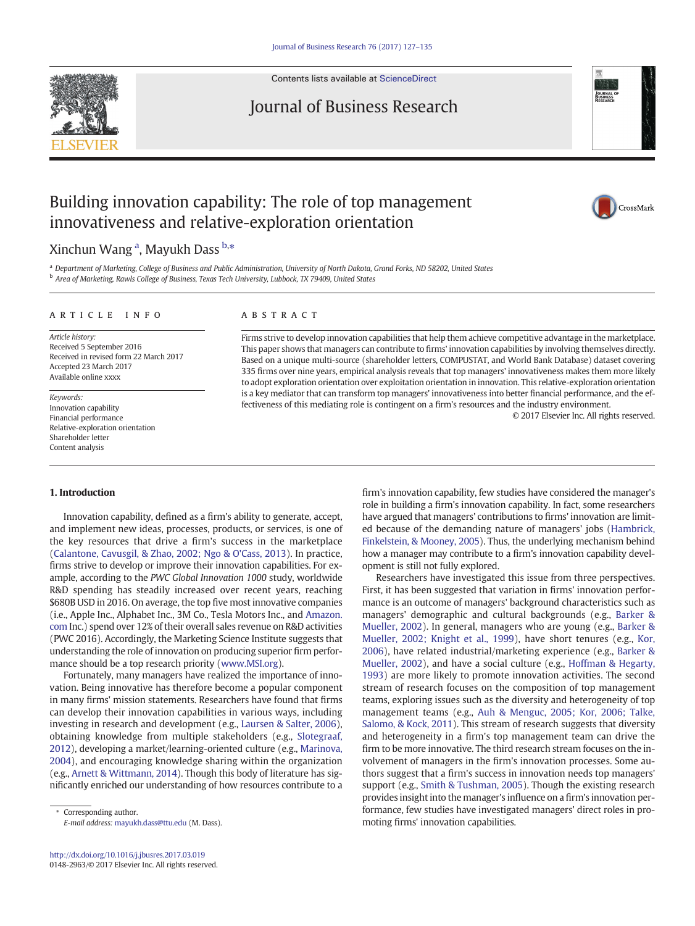

Contents lists available at [ScienceDirect](http://www.sciencedirect.com/science/journal/01482963)

# Journal of Business Research



# Building innovation capability: The role of top management innovativeness and relative-exploration orientation



## Xinchun Wang <sup>a</sup>, Mayukh Dass <sup>b,</sup>\*

a Department of Marketing, College of Business and Public Administration, University of North Dakota, Grand Forks, ND 58202, United States <sup>b</sup> Area of Marketing, Rawls College of Business, Texas Tech University, Lubbock, TX 79409, United States

#### article info abstract

Article history: Received 5 September 2016 Received in revised form 22 March 2017 Accepted 23 March 2017 Available online xxxx

Keywords: Innovation capability Financial performance Relative-exploration orientation Shareholder letter Content analysis

Firms strive to develop innovation capabilities that help them achieve competitive advantage in the marketplace. This paper shows that managers can contribute to firms' innovation capabilities by involving themselves directly. Based on a unique multi-source (shareholder letters, COMPUSTAT, and World Bank Database) dataset covering 335 firms over nine years, empirical analysis reveals that top managers' innovativeness makes them more likely to adopt exploration orientation over exploitation orientation in innovation. This relative-exploration orientation is a key mediator that can transform top managers' innovativeness into better financial performance, and the effectiveness of this mediating role is contingent on a firm's resources and the industry environment.

© 2017 Elsevier Inc. All rights reserved.

### 1. Introduction

Innovation capability, defined as a firm's ability to generate, accept, and implement new ideas, processes, products, or services, is one of the key resources that drive a firm's success in the marketplace [\(Calantone, Cavusgil, & Zhao, 2002; Ngo & O'Cass, 2013](#page-7-0)). In practice, firms strive to develop or improve their innovation capabilities. For example, according to the PWC Global Innovation 1000 study, worldwide R&D spending has steadily increased over recent years, reaching \$680B USD in 2016. On average, the top five most innovative companies (i.e., Apple Inc., Alphabet Inc., 3M Co., Tesla Motors Inc., and [Amazon.](http://Amazon.com) [com](http://Amazon.com) Inc.) spend over 12% of their overall sales revenue on R&D activities (PWC 2016). Accordingly, the Marketing Science Institute suggests that understanding the role of innovation on producing superior firm performance should be a top research priority [\(www.MSI.org](http://www.MSI.org)).

Fortunately, many managers have realized the importance of innovation. Being innovative has therefore become a popular component in many firms' mission statements. Researchers have found that firms can develop their innovation capabilities in various ways, including investing in research and development (e.g., [Laursen & Salter, 2006](#page-7-0)), obtaining knowledge from multiple stakeholders (e.g., [Slotegraaf,](#page-8-0) [2012\)](#page-8-0), developing a market/learning-oriented culture (e.g., [Marinova,](#page-7-0) [2004\)](#page-7-0), and encouraging knowledge sharing within the organization (e.g., [Arnett & Wittmann, 2014\)](#page-7-0). Though this body of literature has significantly enriched our understanding of how resources contribute to a

Corresponding author. E-mail address: [mayukh.dass@ttu.edu](mailto:mayukh.dass@ttu.edu) (M. Dass). firm's innovation capability, few studies have considered the manager's role in building a firm's innovation capability. In fact, some researchers have argued that managers' contributions to firms' innovation are limited because of the demanding nature of managers' jobs ([Hambrick,](#page-7-0) [Finkelstein, & Mooney, 2005\)](#page-7-0). Thus, the underlying mechanism behind how a manager may contribute to a firm's innovation capability development is still not fully explored.

Researchers have investigated this issue from three perspectives. First, it has been suggested that variation in firms' innovation performance is an outcome of managers' background characteristics such as managers' demographic and cultural backgrounds (e.g., [Barker &](#page-7-0) [Mueller, 2002](#page-7-0)). In general, managers who are young (e.g., [Barker &](#page-7-0) [Mueller, 2002; Knight et al., 1999\)](#page-7-0), have short tenures (e.g., [Kor,](#page-7-0) [2006\)](#page-7-0), have related industrial/marketing experience (e.g., [Barker &](#page-7-0) [Mueller, 2002](#page-7-0)), and have a social culture (e.g., [Hoffman & Hegarty,](#page-7-0) [1993\)](#page-7-0) are more likely to promote innovation activities. The second stream of research focuses on the composition of top management teams, exploring issues such as the diversity and heterogeneity of top management teams (e.g., [Auh & Menguc, 2005; Kor, 2006; Talke,](#page-7-0) [Salomo, & Kock, 2011](#page-7-0)). This stream of research suggests that diversity and heterogeneity in a firm's top management team can drive the firm to be more innovative. The third research stream focuses on the involvement of managers in the firm's innovation processes. Some authors suggest that a firm's success in innovation needs top managers' support (e.g., [Smith & Tushman, 2005](#page-8-0)). Though the existing research provides insight into the manager's influence on a firm's innovation performance, few studies have investigated managers' direct roles in promoting firms' innovation capabilities.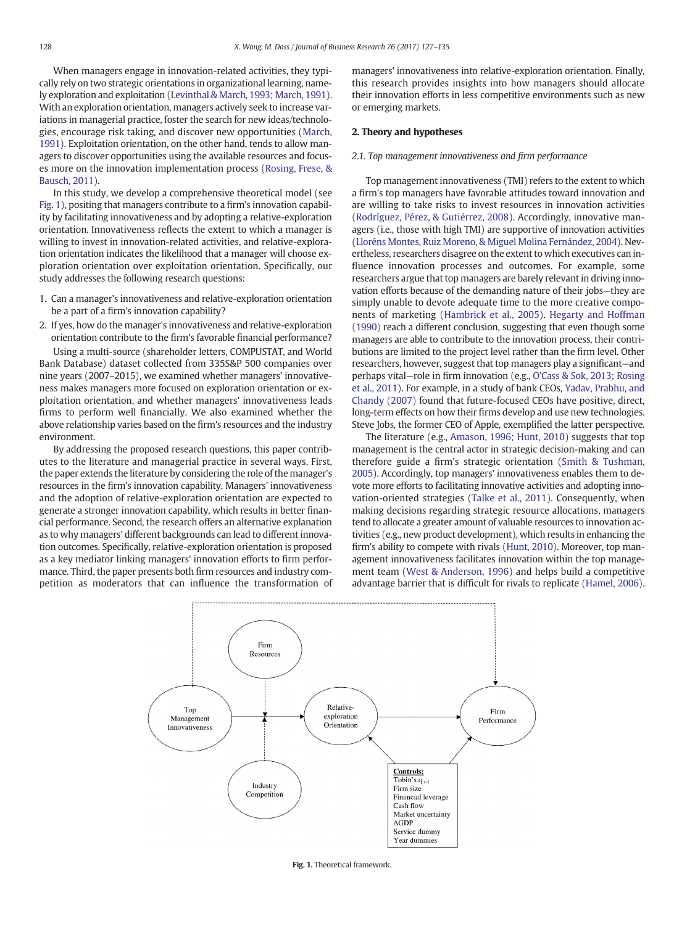When managers engage in innovation-related activities, they typically rely on two strategic orientations in organizational learning, namely exploration and exploitation ([Levinthal & March, 1993; March, 1991\)](#page-7-0). With an exploration orientation, managers actively seek to increase variations in managerial practice, foster the search for new ideas/technologies, encourage risk taking, and discover new opportunities [\(March,](#page-7-0) [1991\)](#page-7-0). Exploitation orientation, on the other hand, tends to allow managers to discover opportunities using the available resources and focuses more on the innovation implementation process [\(Rosing, Frese, &](#page-8-0) [Bausch, 2011](#page-8-0)).

In this study, we develop a comprehensive theoretical model (see Fig. 1), positing that managers contribute to a firm's innovation capability by facilitating innovativeness and by adopting a relative-exploration orientation. Innovativeness reflects the extent to which a manager is willing to invest in innovation-related activities, and relative-exploration orientation indicates the likelihood that a manager will choose exploration orientation over exploitation orientation. Specifically, our study addresses the following research questions:

- 1. Can a manager's innovativeness and relative-exploration orientation be a part of a firm's innovation capability?
- 2. If yes, how do the manager's innovativeness and relative-exploration orientation contribute to the firm's favorable financial performance?

Using a multi-source (shareholder letters, COMPUSTAT, and World Bank Database) dataset collected from 335S&P 500 companies over nine years (2007–2015), we examined whether managers' innovativeness makes managers more focused on exploration orientation or exploitation orientation, and whether managers' innovativeness leads firms to perform well financially. We also examined whether the above relationship varies based on the firm's resources and the industry environment.

By addressing the proposed research questions, this paper contributes to the literature and managerial practice in several ways. First, the paper extends the literature by considering the role of the manager's resources in the firm's innovation capability. Managers' innovativeness and the adoption of relative-exploration orientation are expected to generate a stronger innovation capability, which results in better financial performance. Second, the research offers an alternative explanation as to why managers' different backgrounds can lead to different innovation outcomes. Specifically, relative-exploration orientation is proposed as a key mediator linking managers' innovation efforts to firm performance. Third, the paper presents both firm resources and industry competition as moderators that can influence the transformation of managers' innovativeness into relative-exploration orientation. Finally, this research provides insights into how managers should allocate their innovation efforts in less competitive environments such as new or emerging markets.

#### 2. Theory and hypotheses

#### 2.1. Top management innovativeness and firm performance

Top management innovativeness (TMI) refers to the extent to which a firm's top managers have favorable attitudes toward innovation and are willing to take risks to invest resources in innovation activities [\(Rodríguez, Pérez, & Gutiérrez, 2008](#page-8-0)). Accordingly, innovative managers (i.e., those with high TMI) are supportive of innovation activities [\(Lloréns Montes, Ruiz Moreno, & Miguel Molina Fernández, 2004\)](#page-7-0). Nevertheless, researchers disagree on the extent to which executives can influence innovation processes and outcomes. For example, some researchers argue that top managers are barely relevant in driving innovation efforts because of the demanding nature of their jobs—they are simply unable to devote adequate time to the more creative components of marketing ([Hambrick et al., 2005](#page-7-0)). [Hegarty and Hoffman](#page-7-0) [\(1990\)](#page-7-0) reach a different conclusion, suggesting that even though some managers are able to contribute to the innovation process, their contributions are limited to the project level rather than the firm level. Other researchers, however, suggest that top managers play a significant—and perhaps vital—role in firm innovation (e.g., [O'Cass & Sok, 2013; Rosing](#page-7-0) [et al., 2011\)](#page-7-0). For example, in a study of bank CEOs, [Yadav, Prabhu, and](#page-8-0) [Chandy \(2007\)](#page-8-0) found that future-focused CEOs have positive, direct, long-term effects on how their firms develop and use new technologies. Steve Jobs, the former CEO of Apple, exemplified the latter perspective.

The literature (e.g., [Amason, 1996; Hunt, 2010](#page-7-0)) suggests that top management is the central actor in strategic decision-making and can therefore guide a firm's strategic orientation ([Smith & Tushman,](#page-8-0) [2005\)](#page-8-0). Accordingly, top managers' innovativeness enables them to devote more efforts to facilitating innovative activities and adopting innovation-oriented strategies [\(Talke et al., 2011\)](#page-8-0). Consequently, when making decisions regarding strategic resource allocations, managers tend to allocate a greater amount of valuable resources to innovation activities (e.g., new product development), which results in enhancing the firm's ability to compete with rivals [\(Hunt, 2010\)](#page-7-0). Moreover, top management innovativeness facilitates innovation within the top management team [\(West & Anderson, 1996](#page-8-0)) and helps build a competitive advantage barrier that is difficult for rivals to replicate [\(Hamel, 2006](#page-7-0)).



Fig. 1. Theoretical framework.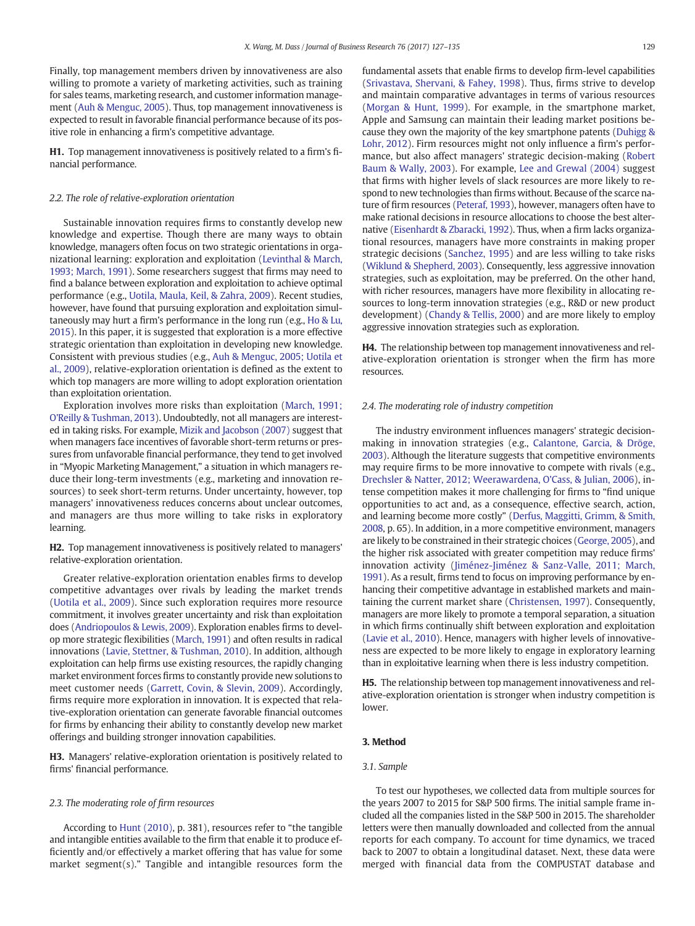<span id="page-2-0"></span>Finally, top management members driven by innovativeness are also willing to promote a variety of marketing activities, such as training for sales teams, marketing research, and customer information management ([Auh & Menguc, 2005](#page-7-0)). Thus, top management innovativeness is expected to result in favorable financial performance because of its positive role in enhancing a firm's competitive advantage.

H1. Top management innovativeness is positively related to a firm's financial performance.

#### 2.2. The role of relative-exploration orientation

Sustainable innovation requires firms to constantly develop new knowledge and expertise. Though there are many ways to obtain knowledge, managers often focus on two strategic orientations in organizational learning: exploration and exploitation [\(Levinthal & March,](#page-7-0) [1993; March, 1991](#page-7-0)). Some researchers suggest that firms may need to find a balance between exploration and exploitation to achieve optimal performance (e.g., [Uotila, Maula, Keil, & Zahra, 2009\)](#page-8-0). Recent studies, however, have found that pursuing exploration and exploitation simultaneously may hurt a firm's performance in the long run (e.g., [Ho & Lu,](#page-7-0) [2015](#page-7-0)). In this paper, it is suggested that exploration is a more effective strategic orientation than exploitation in developing new knowledge. Consistent with previous studies (e.g., [Auh & Menguc, 2005; Uotila et](#page-7-0) [al., 2009](#page-7-0)), relative-exploration orientation is defined as the extent to which top managers are more willing to adopt exploration orientation than exploitation orientation.

Exploration involves more risks than exploitation [\(March, 1991;](#page-7-0) [O'Reilly & Tushman, 2013\)](#page-7-0). Undoubtedly, not all managers are interested in taking risks. For example, [Mizik and Jacobson \(2007\)](#page-7-0) suggest that when managers face incentives of favorable short-term returns or pressures from unfavorable financial performance, they tend to get involved in "Myopic Marketing Management," a situation in which managers reduce their long-term investments (e.g., marketing and innovation resources) to seek short-term returns. Under uncertainty, however, top managers' innovativeness reduces concerns about unclear outcomes, and managers are thus more willing to take risks in exploratory learning.

H2. Top management innovativeness is positively related to managers' relative-exploration orientation.

Greater relative-exploration orientation enables firms to develop competitive advantages over rivals by leading the market trends [\(Uotila et al., 2009](#page-8-0)). Since such exploration requires more resource commitment, it involves greater uncertainty and risk than exploitation does [\(Andriopoulos & Lewis, 2009\)](#page-7-0). Exploration enables firms to develop more strategic flexibilities [\(March, 1991\)](#page-7-0) and often results in radical innovations ([Lavie, Stettner, & Tushman, 2010](#page-7-0)). In addition, although exploitation can help firms use existing resources, the rapidly changing market environment forces firms to constantly provide new solutions to meet customer needs [\(Garrett, Covin, & Slevin, 2009\)](#page-7-0). Accordingly, firms require more exploration in innovation. It is expected that relative-exploration orientation can generate favorable financial outcomes for firms by enhancing their ability to constantly develop new market offerings and building stronger innovation capabilities.

H3. Managers' relative-exploration orientation is positively related to firms' financial performance.

#### 2.3. The moderating role of firm resources

According to [Hunt \(2010\),](#page-7-0) p. 381), resources refer to "the tangible and intangible entities available to the firm that enable it to produce efficiently and/or effectively a market offering that has value for some market segment(s)." Tangible and intangible resources form the fundamental assets that enable firms to develop firm-level capabilities [\(Srivastava, Shervani, & Fahey, 1998](#page-8-0)). Thus, firms strive to develop and maintain comparative advantages in terms of various resources [\(Morgan & Hunt, 1999\)](#page-7-0). For example, in the smartphone market, Apple and Samsung can maintain their leading market positions because they own the majority of the key smartphone patents [\(Duhigg &](#page-7-0) [Lohr, 2012](#page-7-0)). Firm resources might not only influence a firm's performance, but also affect managers' strategic decision-making [\(Robert](#page-7-0) [Baum & Wally, 2003\)](#page-7-0). For example, [Lee and Grewal \(2004\)](#page-7-0) suggest that firms with higher levels of slack resources are more likely to respond to new technologies than firms without. Because of the scarce nature of firm resources [\(Peteraf, 1993](#page-7-0)), however, managers often have to make rational decisions in resource allocations to choose the best alternative ([Eisenhardt & Zbaracki, 1992](#page-7-0)). Thus, when a firm lacks organizational resources, managers have more constraints in making proper strategic decisions [\(Sanchez, 1995\)](#page-8-0) and are less willing to take risks [\(Wiklund & Shepherd, 2003\)](#page-8-0). Consequently, less aggressive innovation strategies, such as exploitation, may be preferred. On the other hand, with richer resources, managers have more flexibility in allocating resources to long-term innovation strategies (e.g., R&D or new product development) ([Chandy & Tellis, 2000](#page-7-0)) and are more likely to employ aggressive innovation strategies such as exploration.

H4. The relationship between top management innovativeness and relative-exploration orientation is stronger when the firm has more resources.

#### 2.4. The moderating role of industry competition

The industry environment influences managers' strategic decisionmaking in innovation strategies (e.g., [Calantone, Garcia, & Dröge,](#page-7-0) [2003](#page-7-0)). Although the literature suggests that competitive environments may require firms to be more innovative to compete with rivals (e.g., [Drechsler & Natter, 2012; Weerawardena, O'Cass, & Julian, 2006\)](#page-7-0), intense competition makes it more challenging for firms to "find unique opportunities to act and, as a consequence, effective search, action, and learning become more costly" ([Derfus, Maggitti, Grimm, & Smith,](#page-7-0) [2008](#page-7-0), p. 65). In addition, in a more competitive environment, managers are likely to be constrained in their strategic choices [\(George, 2005\)](#page-7-0), and the higher risk associated with greater competition may reduce firms' innovation activity ([Jiménez-Jiménez & Sanz-Valle, 2011; March,](#page-7-0) [1991](#page-7-0)). As a result, firms tend to focus on improving performance by enhancing their competitive advantage in established markets and maintaining the current market share [\(Christensen, 1997](#page-7-0)). Consequently, managers are more likely to promote a temporal separation, a situation in which firms continually shift between exploration and exploitation [\(Lavie et al., 2010\)](#page-7-0). Hence, managers with higher levels of innovativeness are expected to be more likely to engage in exploratory learning than in exploitative learning when there is less industry competition.

H5. The relationship between top management innovativeness and relative-exploration orientation is stronger when industry competition is lower.

#### 3. Method

#### 3.1. Sample

To test our hypotheses, we collected data from multiple sources for the years 2007 to 2015 for S&P 500 firms. The initial sample frame included all the companies listed in the S&P 500 in 2015. The shareholder letters were then manually downloaded and collected from the annual reports for each company. To account for time dynamics, we traced back to 2007 to obtain a longitudinal dataset. Next, these data were merged with financial data from the COMPUSTAT database and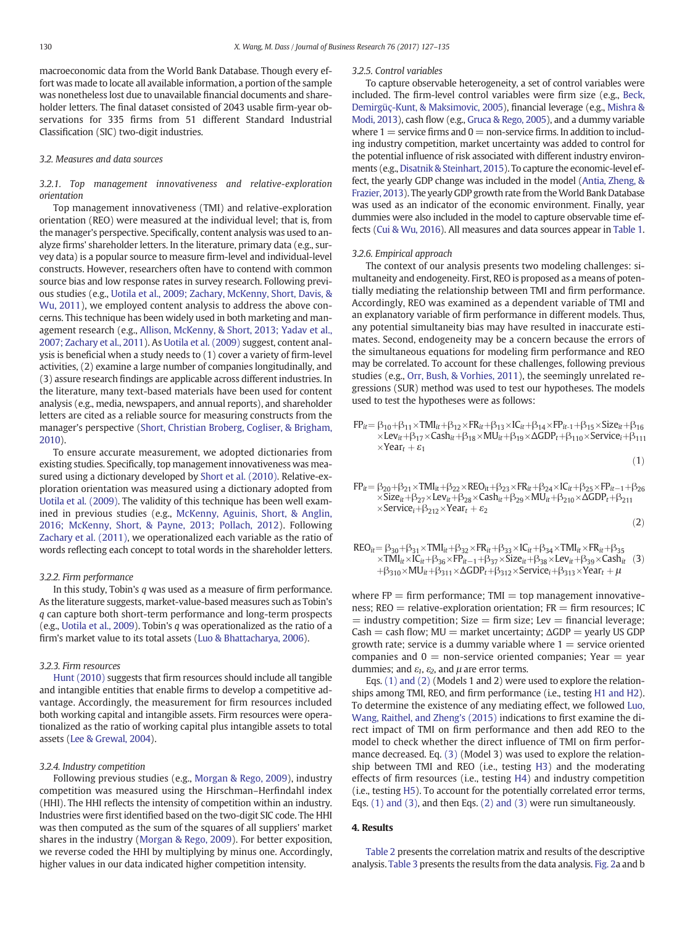<span id="page-3-0"></span>macroeconomic data from the World Bank Database. Though every effort was made to locate all available information, a portion of the sample was nonetheless lost due to unavailable financial documents and shareholder letters. The final dataset consisted of 2043 usable firm-year observations for 335 firms from 51 different Standard Industrial Classification (SIC) two-digit industries.

#### 3.2. Measures and data sources

#### 3.2.1. Top management innovativeness and relative-exploration orientation

Top management innovativeness (TMI) and relative-exploration orientation (REO) were measured at the individual level; that is, from the manager's perspective. Specifically, content analysis was used to analyze firms' shareholder letters. In the literature, primary data (e.g., survey data) is a popular source to measure firm-level and individual-level constructs. However, researchers often have to contend with common source bias and low response rates in survey research. Following previous studies (e.g., [Uotila et al., 2009; Zachary, McKenny, Short, Davis, &](#page-8-0) [Wu, 2011](#page-8-0)), we employed content analysis to address the above concerns. This technique has been widely used in both marketing and management research (e.g., [Allison, McKenny, & Short, 2013; Yadav et al.,](#page-7-0) [2007; Zachary et al., 2011](#page-7-0)). As [Uotila et al. \(2009\)](#page-8-0) suggest, content analysis is beneficial when a study needs to (1) cover a variety of firm-level activities, (2) examine a large number of companies longitudinally, and (3) assure research findings are applicable across different industries. In the literature, many text-based materials have been used for content analysis (e.g., media, newspapers, and annual reports), and shareholder letters are cited as a reliable source for measuring constructs from the manager's perspective ([Short, Christian Broberg, Cogliser, & Brigham,](#page-8-0) [2010\)](#page-8-0).

To ensure accurate measurement, we adopted dictionaries from existing studies. Specifically, top management innovativeness was measured using a dictionary developed by [Short et al. \(2010\).](#page-8-0) Relative-exploration orientation was measured using a dictionary adopted from [Uotila et al. \(2009\)](#page-8-0). The validity of this technique has been well examined in previous studies (e.g., [McKenny, Aguinis, Short, & Anglin,](#page-7-0) [2016; McKenny, Short, & Payne, 2013; Pollach, 2012](#page-7-0)). Following [Zachary et al. \(2011\)](#page-8-0), we operationalized each variable as the ratio of words reflecting each concept to total words in the shareholder letters.

#### 3.2.2. Firm performance

In this study, Tobin's q was used as a measure of firm performance. As the literature suggests, market-value-based measures such as Tobin's q can capture both short-term performance and long-term prospects (e.g., [Uotila et al., 2009\)](#page-8-0). Tobin's q was operationalized as the ratio of a firm's market value to its total assets ([Luo & Bhattacharya, 2006](#page-7-0)).

#### 3.2.3. Firm resources

[Hunt \(2010\)](#page-7-0) suggests that firm resources should include all tangible and intangible entities that enable firms to develop a competitive advantage. Accordingly, the measurement for firm resources included both working capital and intangible assets. Firm resources were operationalized as the ratio of working capital plus intangible assets to total assets [\(Lee & Grewal, 2004\)](#page-7-0).

#### 3.2.4. Industry competition

Following previous studies (e.g., [Morgan & Rego, 2009](#page-7-0)), industry competition was measured using the Hirschman–Herfindahl index (HHI). The HHI reflects the intensity of competition within an industry. Industries were first identified based on the two-digit SIC code. The HHI was then computed as the sum of the squares of all suppliers' market shares in the industry ([Morgan & Rego, 2009\)](#page-7-0). For better exposition, we reverse coded the HHI by multiplying by minus one. Accordingly, higher values in our data indicated higher competition intensity.

#### 3.2.5. Control variables

To capture observable heterogeneity, a set of control variables were included. The firm-level control variables were firm size (e.g., [Beck,](#page-7-0) [Demirgüç-Kunt, & Maksimovic, 2005](#page-7-0)), financial leverage (e.g., [Mishra &](#page-7-0) [Modi, 2013\)](#page-7-0), cash flow (e.g., [Gruca & Rego, 2005](#page-7-0)), and a dummy variable where  $1 =$  service firms and  $0 =$  non-service firms. In addition to including industry competition, market uncertainty was added to control for the potential influence of risk associated with different industry environments (e.g., [Disatnik & Steinhart, 2015\)](#page-7-0). To capture the economic-level effect, the yearly GDP change was included in the model [\(Antia, Zheng, &](#page-7-0) [Frazier, 2013\)](#page-7-0). The yearly GDP growth rate from theWorld Bank Database was used as an indicator of the economic environment. Finally, year dummies were also included in the model to capture observable time effects [\(Cui & Wu, 2016\)](#page-7-0). All measures and data sources appear in [Table 1.](#page-4-0)

#### 3.2.6. Empirical approach

The context of our analysis presents two modeling challenges: simultaneity and endogeneity. First, REO is proposed as a means of potentially mediating the relationship between TMI and firm performance. Accordingly, REO was examined as a dependent variable of TMI and an explanatory variable of firm performance in different models. Thus, any potential simultaneity bias may have resulted in inaccurate estimates. Second, endogeneity may be a concern because the errors of the simultaneous equations for modeling firm performance and REO may be correlated. To account for these challenges, following previous studies (e.g., [Orr, Bush, & Vorhies, 2011](#page-7-0)), the seemingly unrelated regressions (SUR) method was used to test our hypotheses. The models used to test the hypotheses were as follows:

$$
\begin{aligned} FP_{it} &= \beta_{10} + \beta_{11} \times TMI_{it} + \beta_{12} \times FR_{it} + \beta_{13} \times IC_{it} + \beta_{14} \times FP_{it-1} + \beta_{15} \times Size_{it} + \beta_{16} \\ &\times Lev_{it} + \beta_{17} \times Cash_{it} + \beta_{18} \times MU_{it} + \beta_{19} \times \Delta GDP_{t} + \beta_{110} \times Service_{i} + \beta_{111} \\ &\times Year_{t} + \varepsilon_{1} \end{aligned} \tag{1}
$$

 $FP_{it} = \beta_{20} + \beta_{21} \times TMI_{it} + \beta_{22} \times REO_{it} + \beta_{23} \times FR_{it} + \beta_{24} \times IC_{it} + \beta_{25} \times FP_{it-1} + \beta_{26}$  $\times$ Size<sub>it</sub> +  $\beta_{27} \times$ Lev<sub>it</sub> +  $\beta_{28} \times$ Cash<sub>it</sub> +  $\beta_{29} \times MU$ <sub>it</sub> +  $\beta_{210} \times \Delta GDP_t$  +  $\beta_{211}$  $\times$ Service<sub>i</sub>+ $\beta_{212} \times$ Year<sub>t</sub> +  $\varepsilon_2$ 

$$
\left( 2\right)
$$

$$
\begin{array}{lll} \text{REO}_{it} = \beta_{30} + \beta_{31} \times \text{TMI}_{it} + \beta_{32} \times \text{FR}_{it} + \beta_{33} \times \text{IC}_{it} + \beta_{34} \times \text{TMI}_{it} \times \text{FR}_{it} + \beta_{35} \\ \times \text{TMI}_{it} \times \text{IC}_{it} + \beta_{36} \times \text{FP}_{it-1} + \beta_{37} \times \text{Size}_{it} + \beta_{38} \times \text{Lev}_{it} + \beta_{39} \times \text{Cash}_{it} \quad (3) \\ + \beta_{310} \times \text{MU}_{it} + \beta_{311} \times \Delta GDP_{t} + \beta_{312} \times \text{Service}_{i} + \beta_{313} \times \text{Year}_{t} + \mu \end{array}
$$

where  $FP = firm$  performance;  $TMI = top$  management innovativeness;  $REO =$  relative-exploration orientation;  $FR =$  firm resources; IC  $=$  industry competition; Size  $=$  firm size; Lev  $=$  financial leverage;  $Cash = cash flow; MU = market uncertainty; \Delta GDP = yearly US GDP$ growth rate; service is a dummy variable where  $1 =$  service oriented companies and  $0 =$  non-service oriented companies; Year  $=$  year dummies; and  $\varepsilon_1$ ,  $\varepsilon_2$ , and  $\mu$  are error terms.

Eqs. (1) and (2) (Models 1 and 2) were used to explore the relationships among TMI, REO, and firm performance (i.e., testing [H1 and H2\)](#page-2-0). To determine the existence of any mediating effect, we followed [Luo,](#page-7-0) [Wang, Raithel, and Zheng's \(2015\)](#page-7-0) indications to first examine the direct impact of TMI on firm performance and then add REO to the model to check whether the direct influence of TMI on firm performance decreased. Eq. (3) (Model 3) was used to explore the relationship between TMI and REO (i.e., testing [H3\)](#page-2-0) and the moderating effects of firm resources (i.e., testing [H4\)](#page-2-0) and industry competition (i.e., testing [H5\)](#page-2-0). To account for the potentially correlated error terms, Eqs. (1) and (3), and then Eqs. (2) and (3) were run simultaneously.

#### 4. Results

[Table 2](#page-4-0) presents the correlation matrix and results of the descriptive analysis. [Table 3](#page-5-0) presents the results from the data analysis. [Fig. 2a](#page-5-0) and b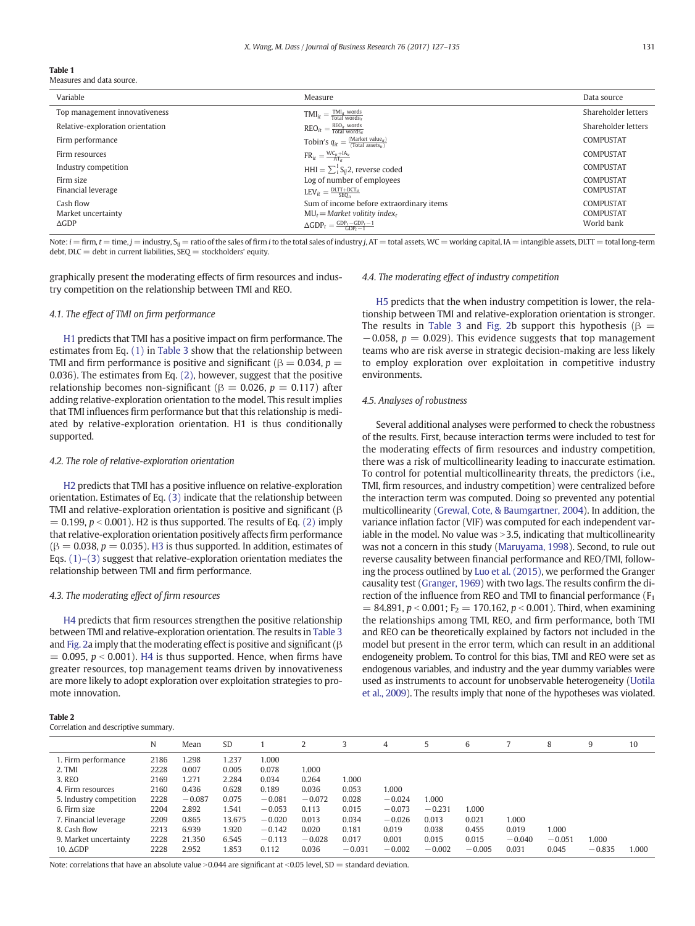#### <span id="page-4-0"></span>Table 1

Measures and data source.

| Variable                         | Measure                                                                           | Data source         |
|----------------------------------|-----------------------------------------------------------------------------------|---------------------|
| Top management innovativeness    | $\text{TMI}_{it} = \frac{\text{TMI}_{it} \text{ words}}{\text{Total words}_{it}}$ | Shareholder letters |
| Relative-exploration orientation | $\text{REO}_{it} = \frac{\text{REO}_{it} \text{ words}}{\text{Total words}_{it}}$ | Shareholder letters |
| Firm performance                 | Tobin's $q_{it} = \frac{(Market\ value_{it})}{(Total\ assets_{it})}$              | <b>COMPUSTAT</b>    |
| Firm resources                   | $FR_{it} = \frac{WC_{it} + IA_{it}}{\Delta T}$                                    | COMPUSTAT           |
| Industry competition             | HHI = $\sum_{i}^{I} S_{ii}$ 2, reverse coded                                      | COMPUSTAT           |
| Firm size                        | Log of number of employees                                                        | COMPUSTAT           |
| Financial leverage               | $\text{LEV}_{it} = \frac{\text{DLTT} + \text{DCT}_{it}}{\text{SEO}_{it}}$         | COMPUSTAT           |
| Cash flow                        | Sum of income before extraordinary items                                          | COMPUSTAT           |
| Market uncertainty               | $MU_t = Market$ volitity index,                                                   | COMPUSTAT           |
| $\triangle$ GDP                  | $\Delta GDP_t = \frac{GDP_t - GDP_t - 1}{GDP_t - 1}$                              | World bank          |

Note:  $i = firm, t = time, j = industry, S_{ii} = ratio of the sales of firm i to the total sales of industry j, AT = total assets, WC = working capital, IA = intangible assets, DLT = total long-term$  $debt$ ,  $DLC = debt$  in current liabilities,  $SEQ = stockholders'$  equity.

graphically present the moderating effects of firm resources and industry competition on the relationship between TMI and REO.

#### 4.1. The effect of TMI on firm performance

[H1](#page-2-0) predicts that TMI has a positive impact on firm performance. The estimates from Eq. [\(1\)](#page-3-0) in [Table 3](#page-5-0) show that the relationship between TMI and firm performance is positive and significant ( $\beta = 0.034$ ,  $p =$ 0.036). The estimates from Eq. [\(2\),](#page-3-0) however, suggest that the positive relationship becomes non-significant ( $\beta = 0.026$ ,  $p = 0.117$ ) after adding relative-exploration orientation to the model. This result implies that TMI influences firm performance but that this relationship is mediated by relative-exploration orientation. H1 is thus conditionally supported.

#### 4.2. The role of relative-exploration orientation

[H2](#page-2-0) predicts that TMI has a positive influence on relative-exploration orientation. Estimates of Eq. [\(3\)](#page-3-0) indicate that the relationship between TMI and relative-exploration orientation is positive and significant (β  $= 0.199$ ,  $p < 0.001$ ). H2 is thus supported. The results of Eq. [\(2\)](#page-3-0) imply that relative-exploration orientation positively affects firm performance  $(\beta = 0.038, p = 0.035)$ . [H3](#page-2-0) is thus supported. In addition, estimates of Eqs.  $(1)$ – $(3)$  suggest that relative-exploration orientation mediates the relationship between TMI and firm performance.

#### 4.3. The moderating effect of firm resources

[H4](#page-2-0) predicts that firm resources strengthen the positive relationship between TMI and relative-exploration orientation. The results in [Table 3](#page-5-0) and [Fig. 2](#page-5-0)a imply that the moderating effect is positive and significant ( $\beta$  $= 0.095$ ,  $p < 0.001$ ). [H4](#page-2-0) is thus supported. Hence, when firms have greater resources, top management teams driven by innovativeness are more likely to adopt exploration over exploitation strategies to promote innovation.

#### Table 2

Correlation and descriptive summary.

### N Mean SD 1 2 3 4 5 6 7 8 9 10 1. Firm performance 2186 1.298 1.237 1.000 2. TMI 2228 0.007 0.005 0.078 1.000 3. REO 2169 1.271 2.284 0.034 0.264 1.000 4. Firm resources 2160 0.436 0.628 0.189 0.036 0.053 1.000 5. Industry competition 2228 −0.087 0.075 −0.081 −0.072 0.028 −0.024 1.000 6. Firm size 2204 2.892 1.541 −0.053 0.113 0.015 −0.073 −0.231 1.000 7. Financial leverage 2209 0.865 13.675 −0.020 0.013 0.034 −0.026 0.013 0.021 1.000 8. Cash flow 2213 6.939 1.920 −0.142 0.020 0.181 0.019 0.038 0.455 0.019 1.000 9. Market uncertainty 2228 21.350 6.545 −0.113 −0.028 0.017 0.001 0.015 0.015 −0.040 −0.051 1.000 10. ΔGDP 2228 2.952 1.853 0.112 0.036 −0.031 −0.002 −0.002 −0.005 0.031 0.045 −0.835 1.000

Note: correlations that have an absolute value > 0.044 are significant at < 0.05 level, SD = standard deviation.

#### 4.4. The moderating effect of industry competition

[H5](#page-2-0) predicts that the when industry competition is lower, the relationship between TMI and relative-exploration orientation is stronger. The results in [Table 3](#page-5-0) and [Fig. 2](#page-5-0)b support this hypothesis ( $\beta =$  $-0.058$ ,  $p = 0.029$ ). This evidence suggests that top management teams who are risk averse in strategic decision-making are less likely to employ exploration over exploitation in competitive industry environments.

#### 4.5. Analyses of robustness

Several additional analyses were performed to check the robustness of the results. First, because interaction terms were included to test for the moderating effects of firm resources and industry competition, there was a risk of multicollinearity leading to inaccurate estimation. To control for potential multicollinearity threats, the predictors (i.e., TMI, firm resources, and industry competition) were centralized before the interaction term was computed. Doing so prevented any potential multicollinearity [\(Grewal, Cote, & Baumgartner, 2004\)](#page-7-0). In addition, the variance inflation factor (VIF) was computed for each independent variable in the model. No value was  $>$  3.5, indicating that multicollinearity was not a concern in this study [\(Maruyama, 1998](#page-7-0)). Second, to rule out reverse causality between financial performance and REO/TMI, following the process outlined by [Luo et al. \(2015\)](#page-7-0), we performed the Granger causality test ([Granger, 1969\)](#page-7-0) with two lags. The results confirm the direction of the influence from REO and TMI to financial performance  $(F_1$  $= 84.891, p < 0.001$ ; F<sub>2</sub> = 170.162, p < 0.001). Third, when examining the relationships among TMI, REO, and firm performance, both TMI and REO can be theoretically explained by factors not included in the model but present in the error term, which can result in an additional endogeneity problem. To control for this bias, TMI and REO were set as endogenous variables, and industry and the year dummy variables were used as instruments to account for unobservable heterogeneity [\(Uotila](#page-8-0) [et al., 2009](#page-8-0)). The results imply that none of the hypotheses was violated.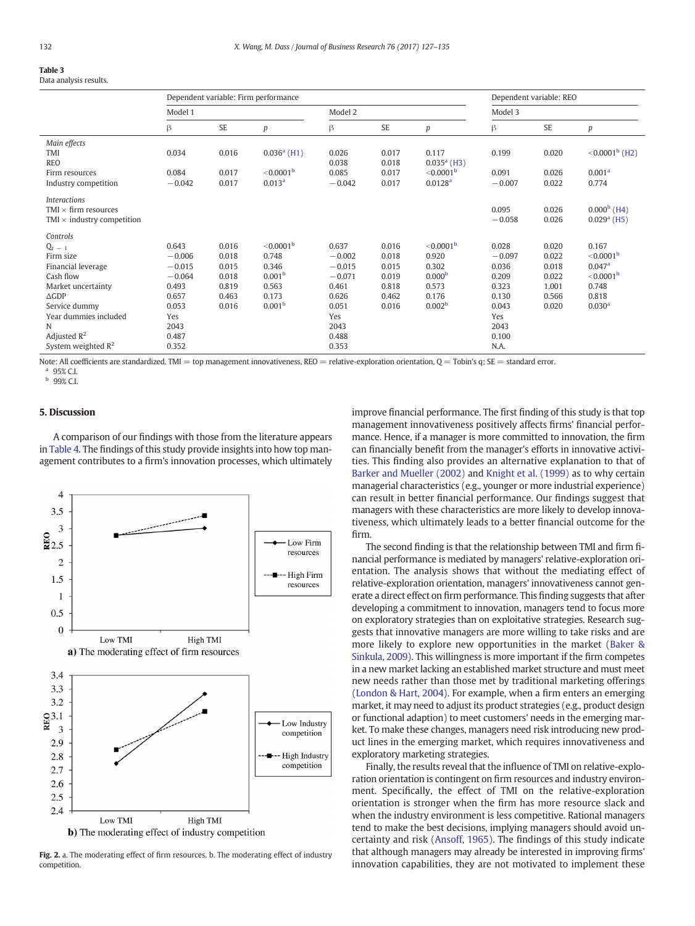### <span id="page-5-0"></span>Table 3

Data analysis results.

|                                   |          |           | Dependent variable: Firm performance |          |           |                       |          | Dependent variable: REO |                         |
|-----------------------------------|----------|-----------|--------------------------------------|----------|-----------|-----------------------|----------|-------------------------|-------------------------|
|                                   | Model 1  |           |                                      | Model 2  |           |                       | Model 3  |                         |                         |
|                                   | β        | <b>SE</b> | p                                    | β        | <b>SE</b> | p                     | β        | <b>SE</b>               | p                       |
| Main effects                      |          |           |                                      |          |           |                       |          |                         |                         |
| TMI                               | 0.034    | 0.016     | $0.036a$ (H1)                        | 0.026    | 0.017     | 0.117                 | 0.199    | 0.020                   | $< 0.0001^{\rm b}$ (H2) |
| <b>REO</b>                        |          |           |                                      | 0.038    | 0.018     | $0.035a$ (H3)         |          |                         |                         |
| Firm resources                    | 0.084    | 0.017     | < 0.0001 <sup>b</sup>                | 0.085    | 0.017     | < 0.0001 <sup>b</sup> | 0.091    | 0.026                   | 0.001 <sup>a</sup>      |
| Industry competition              | $-0.042$ | 0.017     | 0.013 <sup>a</sup>                   | $-0.042$ | 0.017     | 0.0128 <sup>a</sup>   | $-0.007$ | 0.022                   | 0.774                   |
| <b>Interactions</b>               |          |           |                                      |          |           |                       |          |                         |                         |
| TMI $\times$ firm resources       |          |           |                                      |          |           |                       | 0.095    | 0.026                   | $0.000b$ (H4)           |
| TMI $\times$ industry competition |          |           |                                      |          |           |                       | $-0.058$ | 0.026                   | $0.029a$ (H5)           |
| Controls                          |          |           |                                      |          |           |                       |          |                         |                         |
| $Q_t = 1$                         | 0.643    | 0.016     | < 0.0001 <sup>b</sup>                | 0.637    | 0.016     | $<$ 0.0001 $^{\rm b}$ | 0.028    | 0.020                   | 0.167                   |
| Firm size                         | $-0.006$ | 0.018     | 0.748                                | $-0.002$ | 0.018     | 0.920                 | $-0.097$ | 0.022                   | < 0.0001 <sup>b</sup>   |
| Financial leverage                | $-0.015$ | 0.015     | 0.346                                | $-0.015$ | 0.015     | 0.302                 | 0.036    | 0.018                   | 0.047a                  |
| Cash flow                         | $-0.064$ | 0.018     | 0.001 <sup>b</sup>                   | $-0.071$ | 0.019     | 0.000 <sup>b</sup>    | 0.209    | 0.022                   | < 0.0001 <sup>b</sup>   |
| Market uncertainty                | 0.493    | 0.819     | 0.563                                | 0.461    | 0.818     | 0.573                 | 0.323    | 1.001                   | 0.748                   |
| $\triangle$ GDP                   | 0.657    | 0.463     | 0.173                                | 0.626    | 0.462     | 0.176                 | 0.130    | 0.566                   | 0.818                   |
| Service dummy                     | 0.053    | 0.016     | 0.001 <sup>b</sup>                   | 0.051    | 0.016     | 0.002 <sup>b</sup>    | 0.043    | 0.020                   | 0.030 <sup>a</sup>      |
| Year dummies included             | Yes      |           |                                      | Yes      |           |                       | Yes      |                         |                         |
| N                                 | 2043     |           |                                      | 2043     |           |                       | 2043     |                         |                         |
| Adjusted $R^2$                    | 0.487    |           |                                      | 0.488    |           |                       | 0.100    |                         |                         |
| System weighted $\mathbb{R}^2$    | 0.352    |           |                                      | 0.353    |           |                       | N.A.     |                         |                         |

Note: All coefficients are standardized. TMI = top management innovativeness, REO = relative-exploration orientation,  $Q =$  Tobin's q; SE = standard error.

95% C.I.

<sup>b</sup> 99% C.I.

#### 5. Discussion

A comparison of our findings with those from the literature appears in [Table 4](#page-6-0). The findings of this study provide insights into how top management contributes to a firm's innovation processes, which ultimately



Fig. 2. a. The moderating effect of firm resources. b. The moderating effect of industry competition.

improve financial performance. The first finding of this study is that top management innovativeness positively affects firms' financial performance. Hence, if a manager is more committed to innovation, the firm can financially benefit from the manager's efforts in innovative activities. This finding also provides an alternative explanation to that of [Barker and Mueller \(2002\)](#page-7-0) and [Knight et al. \(1999\)](#page-7-0) as to why certain managerial characteristics (e.g., younger or more industrial experience) can result in better financial performance. Our findings suggest that managers with these characteristics are more likely to develop innovativeness, which ultimately leads to a better financial outcome for the firm.

The second finding is that the relationship between TMI and firm financial performance is mediated by managers' relative-exploration orientation. The analysis shows that without the mediating effect of relative-exploration orientation, managers' innovativeness cannot generate a direct effect on firm performance. This finding suggests that after developing a commitment to innovation, managers tend to focus more on exploratory strategies than on exploitative strategies. Research suggests that innovative managers are more willing to take risks and are more likely to explore new opportunities in the market ([Baker &](#page-7-0) [Sinkula, 2009](#page-7-0)). This willingness is more important if the firm competes in a new market lacking an established market structure and must meet new needs rather than those met by traditional marketing offerings [\(London & Hart, 2004](#page-7-0)). For example, when a firm enters an emerging market, it may need to adjust its product strategies (e.g., product design or functional adaption) to meet customers' needs in the emerging market. To make these changes, managers need risk introducing new product lines in the emerging market, which requires innovativeness and exploratory marketing strategies.

Finally, the results reveal that the influence of TMI on relative-exploration orientation is contingent on firm resources and industry environment. Specifically, the effect of TMI on the relative-exploration orientation is stronger when the firm has more resource slack and when the industry environment is less competitive. Rational managers tend to make the best decisions, implying managers should avoid uncertainty and risk ([Ansoff, 1965](#page-7-0)). The findings of this study indicate that although managers may already be interested in improving firms' innovation capabilities, they are not motivated to implement these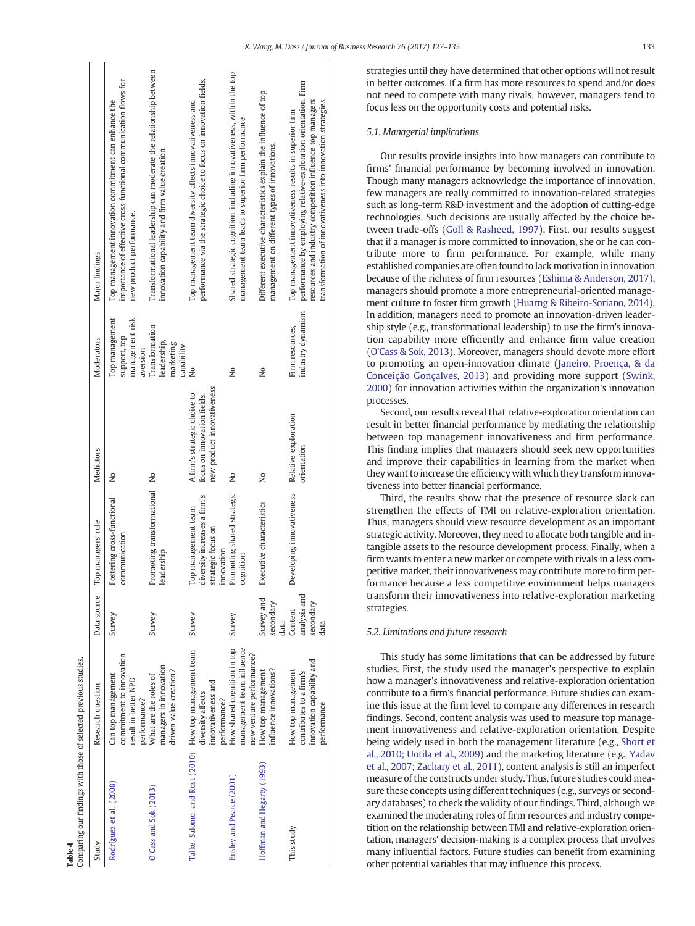Table 4

<span id="page-6-0"></span>

| Comparing our findings with those of selected previous studies. |                                                                                           |                                              |                                                                                         |                                                                                           |                                                               |                                                                                                                                                                                                                                                         |
|-----------------------------------------------------------------|-------------------------------------------------------------------------------------------|----------------------------------------------|-----------------------------------------------------------------------------------------|-------------------------------------------------------------------------------------------|---------------------------------------------------------------|---------------------------------------------------------------------------------------------------------------------------------------------------------------------------------------------------------------------------------------------------------|
| Study                                                           | Research question                                                                         | Data source                                  | Top managers' role                                                                      | <b>Mediators</b>                                                                          | Moderators                                                    | Major findings                                                                                                                                                                                                                                          |
| Rodríguez et al. (2008)                                         | commitment to innovation<br>Can top management<br>result in better NPD<br>performance?    | Survey                                       | Fostering cross-functional<br>communication                                             | $\frac{1}{2}$                                                                             | Top management<br>management risk<br>support, top<br>aversion | importance of effective cross-functional communication flows for<br>Top management innovation commitment can enhance the<br>new product performance.                                                                                                    |
| $Oc$ Cass and Sok $(2013)$                                      | managers in innovation<br>driven value creation?<br>What are the roles of                 | Survey                                       | Promoting transformational No<br>leadership                                             |                                                                                           | Transformation<br>leadership,<br>marketing<br>capability      | Transformational leadership can moderate the relationship between<br>innovation capability and firm value creation.                                                                                                                                     |
| Talke, Salomo, and Rost (2010) How top management team          | innovativeness and<br>diversity affects<br>performance?                                   | Survey                                       | diversity increases a firm's<br>Top management team<br>strategic focus on<br>innovation | new product innovativeness<br>A firm's strategic choice to<br>focus on innovation fields, | δ,                                                            | performance via the strategic choice to focus on innovation fields.<br>Top management team diversity affects innovativeness and                                                                                                                         |
| Ensley and Pearce (2001)                                        | How shared cognition in top<br>management team influence<br>new venture performance?      | Survey                                       | Promoting shared strategic<br>cognition                                                 | å                                                                                         | ş                                                             | Shared strategic cognition, including innovativeness, within the top<br>management team leads to superior firm performance                                                                                                                              |
| Hoffman and Hegarty (1993)                                      | influence innovations?<br>How top management                                              | Survey and<br>secondary<br>data              | Executive characteristics                                                               | $\frac{1}{2}$                                                                             | $\frac{1}{2}$                                                 | Different executive characteristics explain the influence of top<br>management on different types of innovations.                                                                                                                                       |
| This study                                                      | innovation capability and<br>How top management<br>contributes to a firm's<br>performance | analysis and<br>secondary<br>Content<br>data | Developing innovativeness                                                               | Relative-exploration<br>orientation                                                       | industry dynamism<br>Firm resources,                          | performance by employing relative-exploration orientation. Firm<br>resources and industry competition influence top managers'<br>transformation of innovativeness into innovation strategies.<br>Top management innovativeness results in superior firm |

 $\overline{a}$ 

strategies until they have determined that other options will not result in better outcomes. If a firm has more resources to spend and/or does not need to compete with many rivals, however, managers tend to focus less on the opportunity costs and potential risks.

#### 5.1. Managerial implications

Our results provide insights into how managers can contribute to firms' financial performance by becoming involved in innovation. Though many managers acknowledge the importance of innovation, few managers are really committed to innovation-related strategies such as long-term R&D investment and the adoption of cutting-edge technologies. Such decisions are usually affected by the choice between trade-offs [\(Goll & Rasheed, 1997](#page-7-0)). First, our results suggest that if a manager is more committed to innovation, she or he can contribute more to firm performance. For example, while many established companies are often found to lack motivation in innovation because of the richness of firm resources ([Eshima & Anderson, 2017](#page-7-0)), managers should promote a more entrepreneurial-oriented management culture to foster firm growth [\(Huarng & Ribeiro-Soriano, 2014](#page-7-0)). In addition, managers need to promote an innovation-driven leadership style (e.g., transformational leadership) to use the firm's innovation capability more efficiently and enhance firm value creation ([O'Cass & Sok, 2013](#page-7-0)). Moreover, managers should devote more effort to promoting an open-innovation climate [\(Janeiro, Proença, & da](#page-7-0) [Conceição Gonçalves, 2013\)](#page-7-0) and providing more support ([Swink,](#page-8-0) [2000\)](#page-8-0) for innovation activities within the organization's innovation processes.

Second, our results reveal that relative-exploration orientation can result in better financial performance by mediating the relationship between top management innovativeness and firm performance. This finding implies that managers should seek new opportunities and improve their capabilities in learning from the market when they want to increase the efficiency with which they transform innovativeness into better financial performance.

Third, the results show that the presence of resource slack can strengthen the effects of TMI on relative-exploration orientation. Thus, managers should view resource development as an important strategic activity. Moreover, they need to allocate both tangible and intangible assets to the resource development process. Finally, when a firm wants to enter a new market or compete with rivals in a less competitive market, their innovativeness may contribute more to firm performance because a less competitive environment helps managers transform their innovativeness into relative-exploration marketing strategies.

#### 5.2. Limitations and future research

This study has some limitations that can be addressed by future studies. First, the study used the manager's perspective to explain how a manager's innovativeness and relative-exploration orientation contribute to a firm's financial performance. Future studies can examine this issue at the firm level to compare any differences in research findings. Second, content analysis was used to measure top management innovativeness and relative-exploration orientation. Despite being widely used in both the management literature (e.g., [Short et](#page-8-0) [al., 2010; Uotila et al., 2009](#page-8-0)) and the marketing literature (e.g., [Yadav](#page-8-0) [et al., 2007; Zachary et al., 2011\)](#page-8-0), content analysis is still an imperfect measure of the constructs under study. Thus, future studies could measure these concepts using different techniques (e.g., surveys or secondary databases) to check the validity of our findings. Third, although we examined the moderating roles of firm resources and industry competition on the relationship between TMI and relative-exploration orientation, managers' decision-making is a complex process that involves many influential factors. Future studies can benefit from examining other potential variables that may influence this process.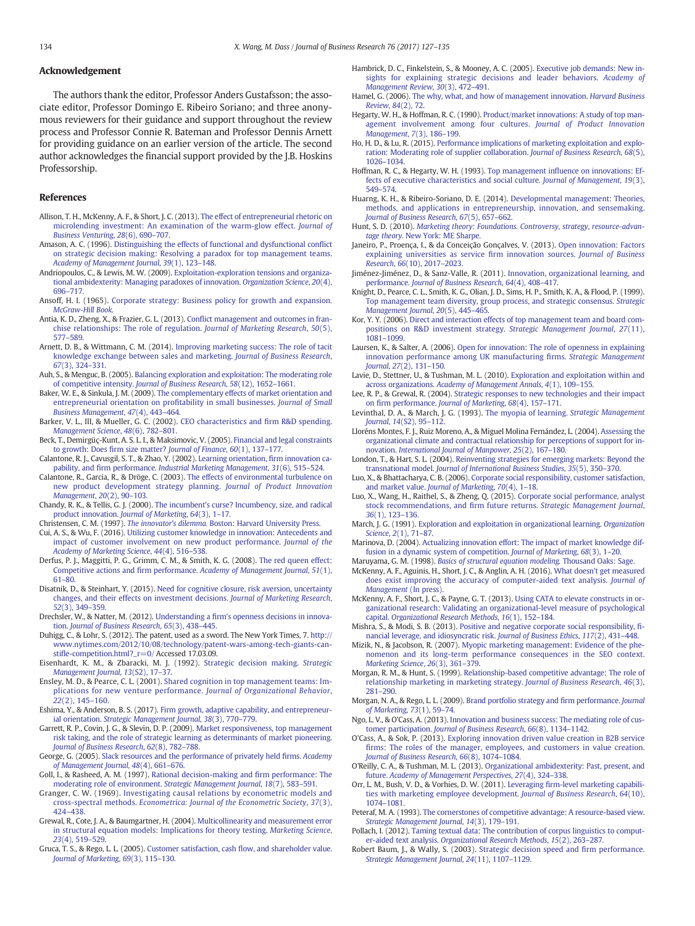#### <span id="page-7-0"></span>Acknowledgement

The authors thank the editor, Professor Anders Gustafsson; the associate editor, Professor Domingo E. Ribeiro Soriano; and three anonymous reviewers for their guidance and support throughout the review process and Professor Connie R. Bateman and Professor Dennis Arnett for providing guidance on an earlier version of the article. The second author acknowledges the financial support provided by the J.B. Hoskins Professorship.

#### References

- Allison, T. H., McKenny, A. F., & Short, J. C. (2013). [The effect of entrepreneurial rhetoric on](http://refhub.elsevier.com/S0148-2963(17)30107-8/rf0005) [microlending investment: An examination of the warm-glow effect.](http://refhub.elsevier.com/S0148-2963(17)30107-8/rf0005) Journal of [Business Venturing](http://refhub.elsevier.com/S0148-2963(17)30107-8/rf0005), 28(6), 690–707.
- Amason, A. C. (1996). [Distinguishing the effects of functional and dysfunctional con](http://refhub.elsevier.com/S0148-2963(17)30107-8/rf0010)flict [on strategic decision making: Resolving a paradox for top management teams.](http://refhub.elsevier.com/S0148-2963(17)30107-8/rf0010) [Academy of Management Journal](http://refhub.elsevier.com/S0148-2963(17)30107-8/rf0010), 39(1), 123–148.
- Andriopoulos, C., & Lewis, M. W. (2009). [Exploitation-exploration tensions and organiza](http://refhub.elsevier.com/S0148-2963(17)30107-8/rf0015)[tional ambidexterity: Managing paradoxes of innovation.](http://refhub.elsevier.com/S0148-2963(17)30107-8/rf0015) Organization Science, 20(4), 696–[717.](http://refhub.elsevier.com/S0148-2963(17)30107-8/rf0015)
- Ansoff, H. I. (1965). [Corporate strategy: Business policy for growth and expansion.](http://refhub.elsevier.com/S0148-2963(17)30107-8/rf0020) [McGraw-Hill Book](http://refhub.elsevier.com/S0148-2963(17)30107-8/rf0020).
- Antia, K. D., Zheng, X., & Frazier, G. L. (2013). Confl[ict management and outcomes in fran](http://refhub.elsevier.com/S0148-2963(17)30107-8/rf0025)[chise relationships: The role of regulation.](http://refhub.elsevier.com/S0148-2963(17)30107-8/rf0025) Journal of Marketing Research, 50(5), 577–[589.](http://refhub.elsevier.com/S0148-2963(17)30107-8/rf0025)
- Arnett, D. B., & Wittmann, C. M. (2014). [Improving marketing success: The role of tacit](http://refhub.elsevier.com/S0148-2963(17)30107-8/rf0030) [knowledge exchange between sales and marketing.](http://refhub.elsevier.com/S0148-2963(17)30107-8/rf0030) Journal of Business Research, 67[\(3\), 324](http://refhub.elsevier.com/S0148-2963(17)30107-8/rf0030)–331.
- Auh, S., & Menguc, B. (2005). [Balancing exploration and exploitation: The moderating role](http://refhub.elsevier.com/S0148-2963(17)30107-8/rf0035) of competitive intensity. [Journal of Business Research](http://refhub.elsevier.com/S0148-2963(17)30107-8/rf0035), 58(12), 1652–1661.
- Baker, W. E., & Sinkula, J. M. (2009). [The complementary effects of market orientation and](http://refhub.elsevier.com/S0148-2963(17)30107-8/rf0040) [entrepreneurial orientation on pro](http://refhub.elsevier.com/S0148-2963(17)30107-8/rf0040)fitability in small businesses. Journal of Small [Business Management](http://refhub.elsevier.com/S0148-2963(17)30107-8/rf0040), 47(4), 443–464.
- Barker, V. L., III, & Mueller, G. C. (2002). [CEO characteristics and](http://refhub.elsevier.com/S0148-2963(17)30107-8/rf0045) firm R&D spending. [Management Science](http://refhub.elsevier.com/S0148-2963(17)30107-8/rf0045), 48(6), 782–801.
- Beck, T., Demirgüç-Kunt, A. S. L. I., & Maksimovic, V. (2005). [Financial and legal constraints](http://refhub.elsevier.com/S0148-2963(17)30107-8/rf0050) to growth: Does firm size matter? [Journal of Finance](http://refhub.elsevier.com/S0148-2963(17)30107-8/rf0050), 60(1), 137–177.
- Calantone, R. J., Cavusgil, S. T., & Zhao, Y. (2002). [Learning orientation,](http://refhub.elsevier.com/S0148-2963(17)30107-8/rf0055) firm innovation capability, and firm performance. [Industrial Marketing Management](http://refhub.elsevier.com/S0148-2963(17)30107-8/rf0055), 31(6), 515–524.
- Calantone, R., Garcia, R., & Dröge, C. (2003). [The effects of environmental turbulence on](http://refhub.elsevier.com/S0148-2963(17)30107-8/rf0060) [new product development strategy planning.](http://refhub.elsevier.com/S0148-2963(17)30107-8/rf0060) Journal of Product Innovation [Management](http://refhub.elsevier.com/S0148-2963(17)30107-8/rf0060), 20(2), 90–103.
- Chandy, R. K., & Tellis, G. J. (2000). [The incumbent's curse? Incumbency, size, and radical](http://refhub.elsevier.com/S0148-2963(17)30107-8/rf0065) product innovation. [Journal of Marketing](http://refhub.elsevier.com/S0148-2963(17)30107-8/rf0065), 64(3), 1–17.
- Christensen, C. M. (1997). The innovator's dilemma. [Boston: Harvard University Press.](http://refhub.elsevier.com/S0148-2963(17)30107-8/rf0070)
- Cui, A. S., & Wu, F. (2016). [Utilizing customer knowledge in innovation: Antecedents and](http://refhub.elsevier.com/S0148-2963(17)30107-8/rf0075) [impact of customer involvement on new product performance.](http://refhub.elsevier.com/S0148-2963(17)30107-8/rf0075) Journal of the [Academy of Marketing Science](http://refhub.elsevier.com/S0148-2963(17)30107-8/rf0075), 44(4), 516–538.
- Derfus, P. J., Maggitti, P. G., Grimm, C. M., & Smith, K. G. (2008). [The red queen effect:](http://refhub.elsevier.com/S0148-2963(17)30107-8/rf0080) Competitive actions and firm performance. [Academy of Management Journal](http://refhub.elsevier.com/S0148-2963(17)30107-8/rf0080), 51(1), 61–[80.](http://refhub.elsevier.com/S0148-2963(17)30107-8/rf0080)
- Disatnik, D., & Steinhart, Y. (2015). [Need for cognitive closure, risk aversion, uncertainty](http://refhub.elsevier.com/S0148-2963(17)30107-8/rf0085) [changes, and their effects on investment decisions.](http://refhub.elsevier.com/S0148-2963(17)30107-8/rf0085) Journal of Marketing Research, 52[\(3\), 349](http://refhub.elsevier.com/S0148-2963(17)30107-8/rf0085)–359.
- Drechsler, W., & Natter, M. (2012). Understanding a fi[rm's openness decisions in innova](http://refhub.elsevier.com/S0148-2963(17)30107-8/rf0090)tion. [Journal of Business Research](http://refhub.elsevier.com/S0148-2963(17)30107-8/rf0090), 65(3), 438–445.
- Duhigg, C., & Lohr, S. (2012). The patent, used as a sword. The New York Times, 7. [http://](http://www.nytimes.com/2012/10/08/technology/patent-wars-among-tech-giants-can-stifle-competition.html?_r=0/) [www.nytimes.com/2012/10/08/technology/patent-wars-among-tech-giants-can](http://www.nytimes.com/2012/10/08/technology/patent-wars-among-tech-giants-can-stifle-competition.html?_r=0/)stifl[e-competition.html?\\_r=0/](http://www.nytimes.com/2012/10/08/technology/patent-wars-among-tech-giants-can-stifle-competition.html?_r=0/) Accessed 17.03.09.
- Eisenhardt, K. M., & Zbaracki, M. J. (1992). [Strategic decision making.](http://refhub.elsevier.com/S0148-2963(17)30107-8/rf0095) Strategic [Management Journal](http://refhub.elsevier.com/S0148-2963(17)30107-8/rf0095), 13(S2), 17–37.
- Ensley, M. D., & Pearce, C. L. (2001). [Shared cognition in top management teams: Im](http://refhub.elsevier.com/S0148-2963(17)30107-8/rf0100)[plications for new venture performance.](http://refhub.elsevier.com/S0148-2963(17)30107-8/rf0100) Journal of Organizational Behavior, 22[\(2\), 145](http://refhub.elsevier.com/S0148-2963(17)30107-8/rf0100)–160.
- Eshima, Y., & Anderson, B. S. (2017). [Firm growth, adaptive capability, and entrepreneur](http://refhub.elsevier.com/S0148-2963(17)30107-8/rf0105)ial orientation. [Strategic Management Journal](http://refhub.elsevier.com/S0148-2963(17)30107-8/rf0105), 38(3), 770–779.
- Garrett, R. P., Covin, J. G., & Slevin, D. P. (2009). [Market responsiveness, top management](http://refhub.elsevier.com/S0148-2963(17)30107-8/rf0110) [risk taking, and the role of strategic learning as determinants of market pioneering.](http://refhub.elsevier.com/S0148-2963(17)30107-8/rf0110) [Journal of Business Research](http://refhub.elsevier.com/S0148-2963(17)30107-8/rf0110), 62(8), 782–788.
- George, G. (2005). [Slack resources and the performance of privately held](http://refhub.elsevier.com/S0148-2963(17)30107-8/rf0115) firms. Academy [of Management Journal](http://refhub.elsevier.com/S0148-2963(17)30107-8/rf0115), 48(4), 661–676.
- Goll, I., & Rasheed, A. M. (1997). [Rational decision-making and](http://refhub.elsevier.com/S0148-2963(17)30107-8/rf0120) firm performance: The [moderating role of environment.](http://refhub.elsevier.com/S0148-2963(17)30107-8/rf0120) Strategic Management Journal, 18(7), 583–591.
- Granger, C. W. (1969). [Investigating causal relations by econometric models and](http://refhub.elsevier.com/S0148-2963(17)30107-8/rf0125) cross-spectral methods. [Econometrica: Journal of the Econometric Society](http://refhub.elsevier.com/S0148-2963(17)30107-8/rf0125), 37(3), 424–[438.](http://refhub.elsevier.com/S0148-2963(17)30107-8/rf0125)
- Grewal, R., Cote, J. A., & Baumgartner, H. (2004). [Multicollinearity and measurement error](http://refhub.elsevier.com/S0148-2963(17)30107-8/rf0130) [in structural equation models: Implications for theory testing.](http://refhub.elsevier.com/S0148-2963(17)30107-8/rf0130) Marketing Science, 23[\(4\), 519](http://refhub.elsevier.com/S0148-2963(17)30107-8/rf0130)–529.
- Gruca, T. S., & Rego, L. L. (2005). [Customer satisfaction, cash](http://refhub.elsevier.com/S0148-2963(17)30107-8/rf0135) flow, and shareholder value. [Journal of Marketing](http://refhub.elsevier.com/S0148-2963(17)30107-8/rf0135), 69(3), 115–130.
- Hambrick, D. C., Finkelstein, S., & Mooney, A. C. (2005). [Executive job demands: New in](http://refhub.elsevier.com/S0148-2963(17)30107-8/rf0140)[sights for explaining strategic decisions and leader behaviors.](http://refhub.elsevier.com/S0148-2963(17)30107-8/rf0140) Academy of [Management Review](http://refhub.elsevier.com/S0148-2963(17)30107-8/rf0140), 30(3), 472–491.
- Hamel, G. (2006). [The why, what, and how of management innovation.](http://refhub.elsevier.com/S0148-2963(17)30107-8/rf0145) Harvard Business Review, 84[\(2\), 72.](http://refhub.elsevier.com/S0148-2963(17)30107-8/rf0145)
- Hegarty, W. H., & Hoffman, R. C. (1990). [Product/market innovations: A study of top man](http://refhub.elsevier.com/S0148-2963(17)30107-8/rf0150)[agement involvement among four cultures.](http://refhub.elsevier.com/S0148-2963(17)30107-8/rf0150) Journal of Product Innovation [Management](http://refhub.elsevier.com/S0148-2963(17)30107-8/rf0150), 7(3), 186–199.
- Ho, H. D., & Lu, R. (2015). [Performance implications of marketing exploitation and explo](http://refhub.elsevier.com/S0148-2963(17)30107-8/rf0155)[ration: Moderating role of supplier collaboration.](http://refhub.elsevier.com/S0148-2963(17)30107-8/rf0155) Journal of Business Research, 68(5), 1026–[1034.](http://refhub.elsevier.com/S0148-2963(17)30107-8/rf0155)
- Hoffman, R. C., & Hegarty, W. H. (1993). Top management infl[uence on innovations: Ef](http://refhub.elsevier.com/S0148-2963(17)30107-8/rf0160)[fects of executive characteristics and social culture.](http://refhub.elsevier.com/S0148-2963(17)30107-8/rf0160) Journal of Management, 19(3), 549–[574.](http://refhub.elsevier.com/S0148-2963(17)30107-8/rf0160)
- Huarng, K. H., & Ribeiro-Soriano, D. E. (2014). [Developmental management: Theories,](http://refhub.elsevier.com/S0148-2963(17)30107-8/rf0165) [methods, and applications in entrepreneurship, innovation, and sensemaking.](http://refhub.elsevier.com/S0148-2963(17)30107-8/rf0165) [Journal of Business Research](http://refhub.elsevier.com/S0148-2963(17)30107-8/rf0165), 67(5), 657–662.
- Hunt, S. D. (2010). [Marketing theory: Foundations. Controversy, strategy, resource-advan](http://refhub.elsevier.com/S0148-2963(17)30107-8/rf0170)tage theory. [New York: ME Sharpe.](http://refhub.elsevier.com/S0148-2963(17)30107-8/rf0170)
- Janeiro, P., Proença, I., & da Conceição Gonçalves, V. (2013). [Open innovation: Factors](http://refhub.elsevier.com/S0148-2963(17)30107-8/rf0175) [explaining universities as service](http://refhub.elsevier.com/S0148-2963(17)30107-8/rf0175) firm innovation sources. Journal of Business Research, 66[\(10\), 2017](http://refhub.elsevier.com/S0148-2963(17)30107-8/rf0175)–2023.
- Jiménez-Jiménez, D., & Sanz-Valle, R. (2011). [Innovation, organizational learning, and](http://refhub.elsevier.com/S0148-2963(17)30107-8/rf0180) performance. [Journal of Business Research](http://refhub.elsevier.com/S0148-2963(17)30107-8/rf0180), 64(4), 408–417.
- Knight, D., Pearce, C. L., Smith, K. G., Olian, J. D., Sims, H. P., Smith, K. A., & Flood, P. (1999). [Top management team diversity, group process, and strategic consensus.](http://refhub.elsevier.com/S0148-2963(17)30107-8/rf0185) Strategic [Management Journal](http://refhub.elsevier.com/S0148-2963(17)30107-8/rf0185), 20(5), 445–465.
- Kor, Y. Y. (2006). [Direct and interaction effects of top management team and board com](http://refhub.elsevier.com/S0148-2963(17)30107-8/rf0190)[positions on R&D investment strategy.](http://refhub.elsevier.com/S0148-2963(17)30107-8/rf0190) Strategic Management Journal, 27(11), 1081–[1099.](http://refhub.elsevier.com/S0148-2963(17)30107-8/rf0190)
- Laursen, K., & Salter, A. (2006). [Open for innovation: The role of openness in explaining](http://refhub.elsevier.com/S0148-2963(17)30107-8/rf0195) [innovation performance among UK manufacturing](http://refhub.elsevier.com/S0148-2963(17)30107-8/rf0195) firms. Strategic Management Journal, 27[\(2\), 131](http://refhub.elsevier.com/S0148-2963(17)30107-8/rf0195)–150.
- Lavie, D., Stettner, U., & Tushman, M. L. (2010). [Exploration and exploitation within and](http://refhub.elsevier.com/S0148-2963(17)30107-8/rf0200) across organizations. [Academy of Management Annals](http://refhub.elsevier.com/S0148-2963(17)30107-8/rf0200), 4(1), 109–155.
- Lee, R. P., & Grewal, R. (2004). [Strategic responses to new technologies and their impact](http://refhub.elsevier.com/S0148-2963(17)30107-8/rf0205) on firm performance. [Journal of Marketing](http://refhub.elsevier.com/S0148-2963(17)30107-8/rf0205), 68(4), 157–171.
- Levinthal, D. A., & March, J. G. (1993). [The myopia of learning.](http://refhub.elsevier.com/S0148-2963(17)30107-8/rf0210) Strategic Management Journal, 14[\(S2\), 95](http://refhub.elsevier.com/S0148-2963(17)30107-8/rf0210)–112.
- Lloréns Montes, F. J., Ruiz Moreno, A., & Miguel Molina Fernández, L. (2004). [Assessing the](http://refhub.elsevier.com/S0148-2963(17)30107-8/rf0215) [organizational climate and contractual relationship for perceptions of support for in](http://refhub.elsevier.com/S0148-2963(17)30107-8/rf0215)novation. [International Journal of Manpower](http://refhub.elsevier.com/S0148-2963(17)30107-8/rf0215), 25(2), 167–180.
- London, T., & Hart, S. L. (2004). [Reinventing strategies for emerging markets: Beyond the](http://refhub.elsevier.com/S0148-2963(17)30107-8/rf0220) transnational model. [Journal of International Business Studies](http://refhub.elsevier.com/S0148-2963(17)30107-8/rf0220), 35(5), 350–370.
- Luo, X., & Bhattacharya, C. B. (2006). [Corporate social responsibility, customer satisfaction,](http://refhub.elsevier.com/S0148-2963(17)30107-8/rf0225) and market value. [Journal of Marketing](http://refhub.elsevier.com/S0148-2963(17)30107-8/rf0225), 70(4), 1–18.
- Luo, X., Wang, H., Raithel, S., & Zheng, Q. (2015). [Corporate social performance, analyst](http://refhub.elsevier.com/S0148-2963(17)30107-8/rf0230) stock recommendations, and firm future returns. [Strategic Management Journal](http://refhub.elsevier.com/S0148-2963(17)30107-8/rf0230), 36[\(1\), 123](http://refhub.elsevier.com/S0148-2963(17)30107-8/rf0230)–136.
- March, J. G. (1991). [Exploration and exploitation in organizational learning.](http://refhub.elsevier.com/S0148-2963(17)30107-8/rf0235) Organization Science, 2[\(1\), 71](http://refhub.elsevier.com/S0148-2963(17)30107-8/rf0235)–87.
- Marinova, D. (2004). [Actualizing innovation effort: The impact of market knowledge dif](http://refhub.elsevier.com/S0148-2963(17)30107-8/rf0240)[fusion in a dynamic system of competition.](http://refhub.elsevier.com/S0148-2963(17)30107-8/rf0240) Journal of Marketing, 68(3), 1–20.
- Maruyama, G. M. (1998). [Basics of structural equation modeling.](http://refhub.elsevier.com/S0148-2963(17)30107-8/rf0245) Thousand Oaks: Sage.
- McKenny, A. F., Aguinis, H., Short, J. C., & Anglin, A. H. (2016). [What doesn't get measured](http://refhub.elsevier.com/S0148-2963(17)30107-8/rf0250) [does exist improving the accuracy of computer-aided text analysis.](http://refhub.elsevier.com/S0148-2963(17)30107-8/rf0250) Journal of [Management](http://refhub.elsevier.com/S0148-2963(17)30107-8/rf0250) (In press).
- McKenny, A. F., Short, J. C., & Payne, G. T. (2013). [Using CATA to elevate constructs in or](http://refhub.elsevier.com/S0148-2963(17)30107-8/rf0255)[ganizational research: Validating an organizational-level measure of psychological](http://refhub.elsevier.com/S0148-2963(17)30107-8/rf0255) capital. [Organizational Research Methods](http://refhub.elsevier.com/S0148-2963(17)30107-8/rf0255), 16(1), 152–184.
- Mishra, S., & Modi, S. B. (2013). [Positive and negative corporate social responsibility,](http://refhub.elsevier.com/S0148-2963(17)30107-8/rf0260) fi[nancial leverage, and idiosyncratic risk.](http://refhub.elsevier.com/S0148-2963(17)30107-8/rf0260) Journal of Business Ethics, 117(2), 431–448.
- Mizik, N., & Jacobson, R. (2007). [Myopic marketing management: Evidence of the phe](http://refhub.elsevier.com/S0148-2963(17)30107-8/rf0265)[nomenon and its long-term performance consequences in the SEO context.](http://refhub.elsevier.com/S0148-2963(17)30107-8/rf0265) [Marketing Science](http://refhub.elsevier.com/S0148-2963(17)30107-8/rf0265), 26(3), 361–379.
- Morgan, R. M., & Hunt, S. (1999). [Relationship-based competitive advantage: The role of](http://refhub.elsevier.com/S0148-2963(17)30107-8/rf0270) [relationship marketing in marketing strategy.](http://refhub.elsevier.com/S0148-2963(17)30107-8/rf0270) Journal of Business Research, 46(3), 281–[290.](http://refhub.elsevier.com/S0148-2963(17)30107-8/rf0270)
- Morgan, N. A., & Rego, L. L. (2009). [Brand portfolio strategy and](http://refhub.elsevier.com/S0148-2963(17)30107-8/rf0275) firm performance. Journal [of Marketing](http://refhub.elsevier.com/S0148-2963(17)30107-8/rf0275), 73(1), 59–74.
- Ngo, L. V., & O'Cass, A. (2013). [Innovation and business success: The mediating role of cus](http://refhub.elsevier.com/S0148-2963(17)30107-8/rf0280)tomer participation. [Journal of Business Research](http://refhub.elsevier.com/S0148-2963(17)30107-8/rf0280), 66(8), 1134–1142.
- O'Cass, A., & Sok, P. (2013). [Exploring innovation driven value creation in B2B service](http://refhub.elsevier.com/S0148-2963(17)30107-8/rf0285) fi[rms: The roles of the manager, employees, and customers in value creation.](http://refhub.elsevier.com/S0148-2963(17)30107-8/rf0285) [Journal of Business Research](http://refhub.elsevier.com/S0148-2963(17)30107-8/rf0285), 66(8), 1074–1084.
- O'Reilly, C. A., & Tushman, M. L. (2013). [Organizational ambidexterity: Past, present, and](http://refhub.elsevier.com/S0148-2963(17)30107-8/rf0290) future. [Academy of Management Perspectives](http://refhub.elsevier.com/S0148-2963(17)30107-8/rf0290), 27(4), 324–338.
- Orr, L. M., Bush, V. D., & Vorhies, D. W. (2011). Leveraging fi[rm-level marketing capabili](http://refhub.elsevier.com/S0148-2963(17)30107-8/rf0295)[ties with marketing employee development.](http://refhub.elsevier.com/S0148-2963(17)30107-8/rf0295) Journal of Business Research, 64(10), 1074–[1081.](http://refhub.elsevier.com/S0148-2963(17)30107-8/rf0295)
- Peteraf, M. A. (1993). [The cornerstones of competitive advantage: A resource-based view.](http://refhub.elsevier.com/S0148-2963(17)30107-8/rf0300) [Strategic Management Journal](http://refhub.elsevier.com/S0148-2963(17)30107-8/rf0300), 14(3), 179–191.
- Pollach, I. (2012). [Taming textual data: The contribution of corpus linguistics to comput](http://refhub.elsevier.com/S0148-2963(17)30107-8/rf0305)er-aided text analysis. [Organizational Research Methods](http://refhub.elsevier.com/S0148-2963(17)30107-8/rf0305), 15(2), 263–287.
- Robert Baum, J., & Wally, S. (2003). [Strategic decision speed and](http://refhub.elsevier.com/S0148-2963(17)30107-8/rf0310) firm performance. [Strategic Management Journal](http://refhub.elsevier.com/S0148-2963(17)30107-8/rf0310), 24(11), 1107–1129.